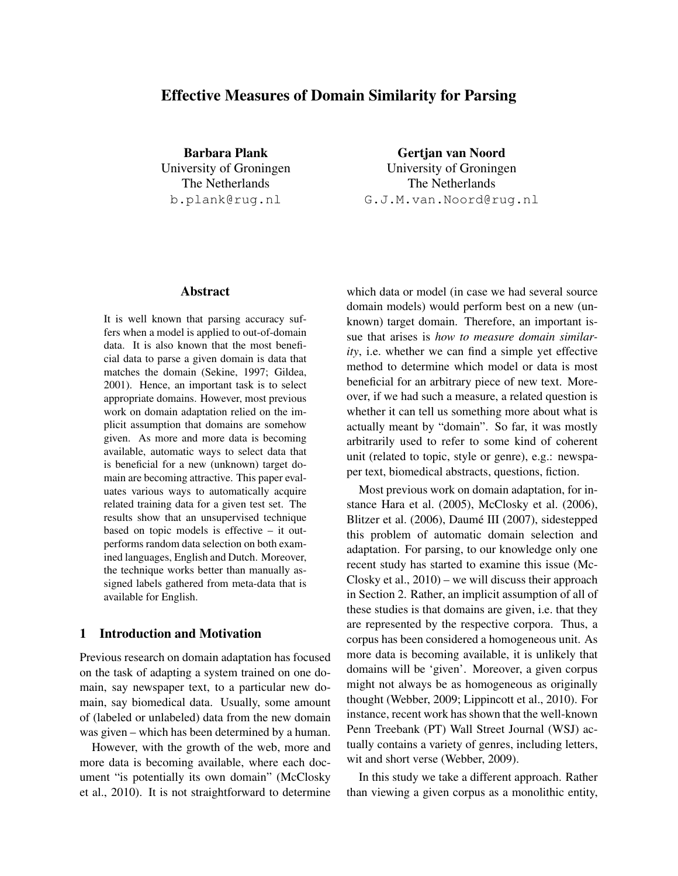# Effective Measures of Domain Similarity for Parsing

Barbara Plank University of Groningen The Netherlands b.plank@rug.nl

Gertjan van Noord University of Groningen The Netherlands G.J.M.van.Noord@rug.nl

## Abstract

It is well known that parsing accuracy suffers when a model is applied to out-of-domain data. It is also known that the most beneficial data to parse a given domain is data that matches the domain (Sekine, 1997; Gildea, 2001). Hence, an important task is to select appropriate domains. However, most previous work on domain adaptation relied on the implicit assumption that domains are somehow given. As more and more data is becoming available, automatic ways to select data that is beneficial for a new (unknown) target domain are becoming attractive. This paper evaluates various ways to automatically acquire related training data for a given test set. The results show that an unsupervised technique based on topic models is effective – it outperforms random data selection on both examined languages, English and Dutch. Moreover, the technique works better than manually assigned labels gathered from meta-data that is available for English.

# 1 Introduction and Motivation

Previous research on domain adaptation has focused on the task of adapting a system trained on one domain, say newspaper text, to a particular new domain, say biomedical data. Usually, some amount of (labeled or unlabeled) data from the new domain was given – which has been determined by a human.

However, with the growth of the web, more and more data is becoming available, where each document "is potentially its own domain" (McClosky et al., 2010). It is not straightforward to determine which data or model (in case we had several source domain models) would perform best on a new (unknown) target domain. Therefore, an important issue that arises is *how to measure domain similarity*, i.e. whether we can find a simple yet effective method to determine which model or data is most beneficial for an arbitrary piece of new text. Moreover, if we had such a measure, a related question is whether it can tell us something more about what is actually meant by "domain". So far, it was mostly arbitrarily used to refer to some kind of coherent unit (related to topic, style or genre), e.g.: newspaper text, biomedical abstracts, questions, fiction.

Most previous work on domain adaptation, for instance Hara et al. (2005), McClosky et al. (2006), Blitzer et al. (2006), Daumé III (2007), sidestepped this problem of automatic domain selection and adaptation. For parsing, to our knowledge only one recent study has started to examine this issue (Mc-Closky et al., 2010) – we will discuss their approach in Section 2. Rather, an implicit assumption of all of these studies is that domains are given, i.e. that they are represented by the respective corpora. Thus, a corpus has been considered a homogeneous unit. As more data is becoming available, it is unlikely that domains will be 'given'. Moreover, a given corpus might not always be as homogeneous as originally thought (Webber, 2009; Lippincott et al., 2010). For instance, recent work has shown that the well-known Penn Treebank (PT) Wall Street Journal (WSJ) actually contains a variety of genres, including letters, wit and short verse (Webber, 2009).

In this study we take a different approach. Rather than viewing a given corpus as a monolithic entity,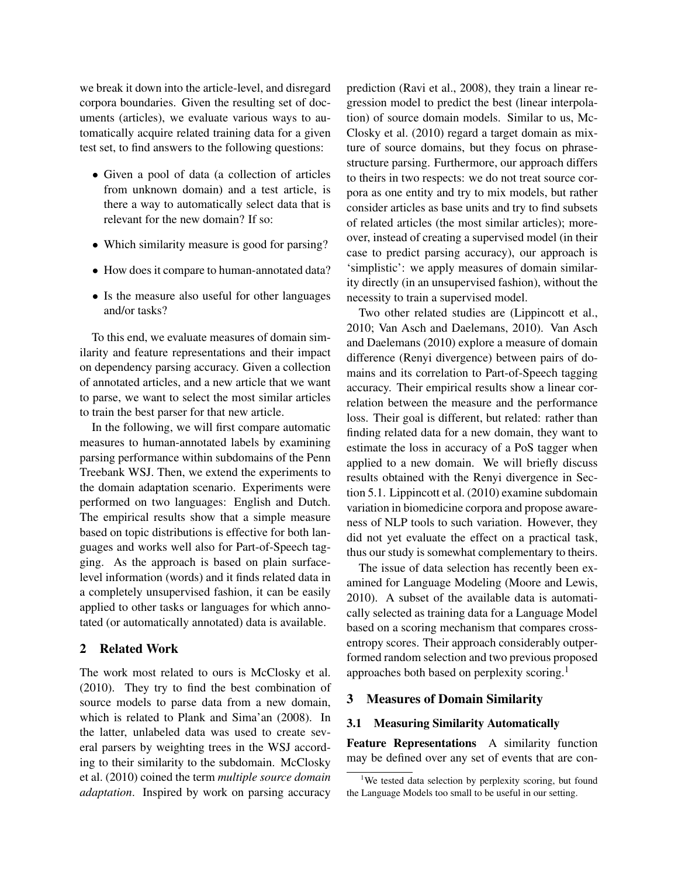we break it down into the article-level, and disregard corpora boundaries. Given the resulting set of documents (articles), we evaluate various ways to automatically acquire related training data for a given test set, to find answers to the following questions:

- Given a pool of data (a collection of articles from unknown domain) and a test article, is there a way to automatically select data that is relevant for the new domain? If so:
- Which similarity measure is good for parsing?
- How does it compare to human-annotated data?
- Is the measure also useful for other languages and/or tasks?

To this end, we evaluate measures of domain similarity and feature representations and their impact on dependency parsing accuracy. Given a collection of annotated articles, and a new article that we want to parse, we want to select the most similar articles to train the best parser for that new article.

In the following, we will first compare automatic measures to human-annotated labels by examining parsing performance within subdomains of the Penn Treebank WSJ. Then, we extend the experiments to the domain adaptation scenario. Experiments were performed on two languages: English and Dutch. The empirical results show that a simple measure based on topic distributions is effective for both languages and works well also for Part-of-Speech tagging. As the approach is based on plain surfacelevel information (words) and it finds related data in a completely unsupervised fashion, it can be easily applied to other tasks or languages for which annotated (or automatically annotated) data is available.

### 2 Related Work

The work most related to ours is McClosky et al. (2010). They try to find the best combination of source models to parse data from a new domain, which is related to Plank and Sima'an (2008). In the latter, unlabeled data was used to create several parsers by weighting trees in the WSJ according to their similarity to the subdomain. McClosky et al. (2010) coined the term *multiple source domain adaptation*. Inspired by work on parsing accuracy prediction (Ravi et al., 2008), they train a linear regression model to predict the best (linear interpolation) of source domain models. Similar to us, Mc-Closky et al. (2010) regard a target domain as mixture of source domains, but they focus on phrasestructure parsing. Furthermore, our approach differs to theirs in two respects: we do not treat source corpora as one entity and try to mix models, but rather consider articles as base units and try to find subsets of related articles (the most similar articles); moreover, instead of creating a supervised model (in their case to predict parsing accuracy), our approach is 'simplistic': we apply measures of domain similarity directly (in an unsupervised fashion), without the necessity to train a supervised model.

Two other related studies are (Lippincott et al., 2010; Van Asch and Daelemans, 2010). Van Asch and Daelemans (2010) explore a measure of domain difference (Renyi divergence) between pairs of domains and its correlation to Part-of-Speech tagging accuracy. Their empirical results show a linear correlation between the measure and the performance loss. Their goal is different, but related: rather than finding related data for a new domain, they want to estimate the loss in accuracy of a PoS tagger when applied to a new domain. We will briefly discuss results obtained with the Renyi divergence in Section 5.1. Lippincott et al. (2010) examine subdomain variation in biomedicine corpora and propose awareness of NLP tools to such variation. However, they did not yet evaluate the effect on a practical task, thus our study is somewhat complementary to theirs.

The issue of data selection has recently been examined for Language Modeling (Moore and Lewis, 2010). A subset of the available data is automatically selected as training data for a Language Model based on a scoring mechanism that compares crossentropy scores. Their approach considerably outperformed random selection and two previous proposed approaches both based on perplexity scoring.<sup>1</sup>

# 3 Measures of Domain Similarity

## 3.1 Measuring Similarity Automatically

Feature Representations A similarity function may be defined over any set of events that are con-

<sup>&</sup>lt;sup>1</sup>We tested data selection by perplexity scoring, but found the Language Models too small to be useful in our setting.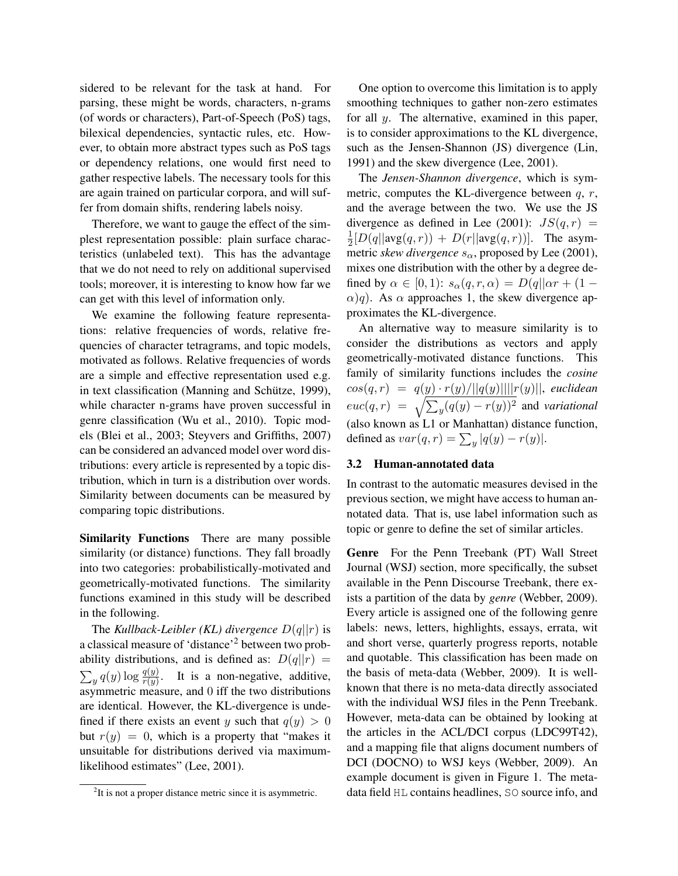sidered to be relevant for the task at hand. For parsing, these might be words, characters, n-grams (of words or characters), Part-of-Speech (PoS) tags, bilexical dependencies, syntactic rules, etc. However, to obtain more abstract types such as PoS tags or dependency relations, one would first need to gather respective labels. The necessary tools for this are again trained on particular corpora, and will suffer from domain shifts, rendering labels noisy.

Therefore, we want to gauge the effect of the simplest representation possible: plain surface characteristics (unlabeled text). This has the advantage that we do not need to rely on additional supervised tools; moreover, it is interesting to know how far we can get with this level of information only.

We examine the following feature representations: relative frequencies of words, relative frequencies of character tetragrams, and topic models, motivated as follows. Relative frequencies of words are a simple and effective representation used e.g. in text classification (Manning and Schütze, 1999), while character n-grams have proven successful in genre classification (Wu et al., 2010). Topic models (Blei et al., 2003; Steyvers and Griffiths, 2007) can be considered an advanced model over word distributions: every article is represented by a topic distribution, which in turn is a distribution over words. Similarity between documents can be measured by comparing topic distributions.

Similarity Functions There are many possible similarity (or distance) functions. They fall broadly into two categories: probabilistically-motivated and geometrically-motivated functions. The similarity functions examined in this study will be described in the following.

The *Kullback-Leibler (KL) divergence*  $D(q||r)$  is a classical measure of 'distance'<sup>2</sup> between two probability distributions, and is defined as:  $D(q||r) =$  $\sum_{y} q(y) \log \frac{q(y)}{r(y)}$ . It is a non-negative, additive, asymmetric measure, and 0 iff the two distributions are identical. However, the KL-divergence is undefined if there exists an event y such that  $q(y) > 0$ but  $r(y) = 0$ , which is a property that "makes it unsuitable for distributions derived via maximumlikelihood estimates" (Lee, 2001).

One option to overcome this limitation is to apply smoothing techniques to gather non-zero estimates for all y. The alternative, examined in this paper, is to consider approximations to the KL divergence, such as the Jensen-Shannon (JS) divergence (Lin, 1991) and the skew divergence (Lee, 2001).

The *Jensen-Shannon divergence*, which is symmetric, computes the KL-divergence between  $q, r$ , and the average between the two. We use the JS divergence as defined in Lee (2001):  $JS(q, r)$  = 1  $\frac{1}{2}[D(q||\text{avg}(q,r)) + D(r||\text{avg}(q,r))]$ . The asymmetric *skew divergence*  $s_{\alpha}$ , proposed by Lee (2001), mixes one distribution with the other by a degree defined by  $\alpha \in [0,1)$ :  $s_{\alpha}(q, r, \alpha) = D(q||\alpha r + (1 \alpha$ )q). As  $\alpha$  approaches 1, the skew divergence approximates the KL-divergence.

An alternative way to measure similarity is to consider the distributions as vectors and apply geometrically-motivated distance functions. This family of similarity functions includes the *cosine*  $cos(q,r) = q(y) \cdot r(y)/||q(y)|| ||r(y)||$ , *euclidean*  $euc(q,r) = \sqrt{\sum_{y} (q(y) - r(y))^2}$  and *variational* (also known as L1 or Manhattan) distance function, defined as  $var(q, r) = \sum_{y} |q(y) - r(y)|$ .

## 3.2 Human-annotated data

In contrast to the automatic measures devised in the previous section, we might have access to human annotated data. That is, use label information such as topic or genre to define the set of similar articles.

Genre For the Penn Treebank (PT) Wall Street Journal (WSJ) section, more specifically, the subset available in the Penn Discourse Treebank, there exists a partition of the data by *genre* (Webber, 2009). Every article is assigned one of the following genre labels: news, letters, highlights, essays, errata, wit and short verse, quarterly progress reports, notable and quotable. This classification has been made on the basis of meta-data (Webber, 2009). It is wellknown that there is no meta-data directly associated with the individual WSJ files in the Penn Treebank. However, meta-data can be obtained by looking at the articles in the ACL/DCI corpus (LDC99T42), and a mapping file that aligns document numbers of DCI (DOCNO) to WSJ keys (Webber, 2009). An example document is given in Figure 1. The metadata field HL contains headlines, SO source info, and

<sup>&</sup>lt;sup>2</sup>It is not a proper distance metric since it is asymmetric.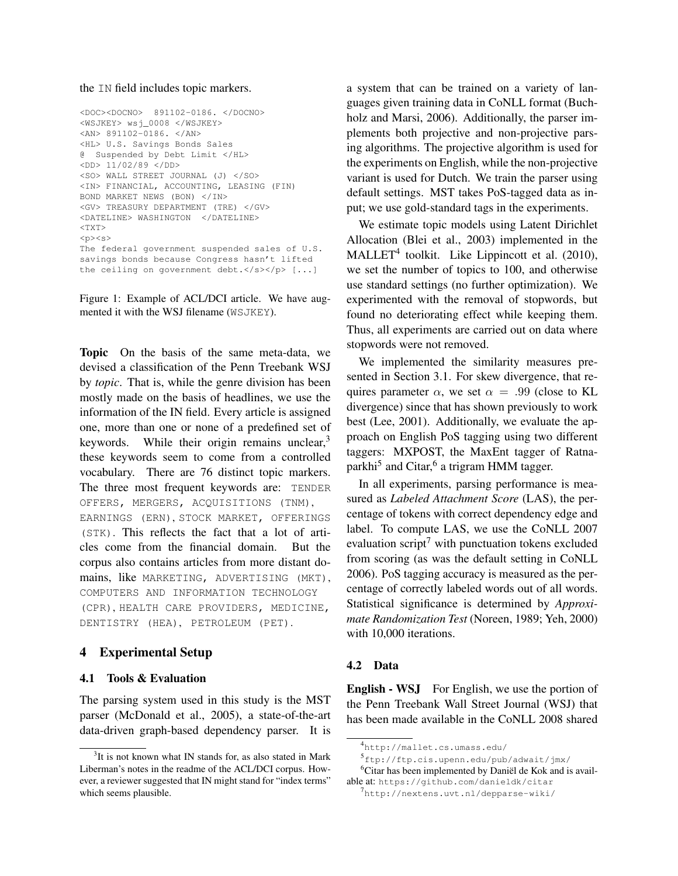#### the IN field includes topic markers.

```
<DOC><DOCNO> 891102-0186. </DOCNO>
<WSJKEY> wsj_0008 </WSJKEY>
<AN> 891102-0186. </AN>
<HL> U.S. Savings Bonds Sales
@ Suspended by Debt Limit </HL>
<DD> 11/02/89 </DD>
<SO> WALL STREET JOURNAL (J) </SO>
<IN> FINANCIAL, ACCOUNTING, LEASING (FIN)
BOND MARKET NEWS (BON) </IN>
<GV> TREASURY DEPARTMENT (TRE) </GV>
<DATELINE> WASHINGTON </DATELINE>
<TXT>
<p><s>The federal government suspended sales of U.S.
savings bonds because Congress hasn't lifted
the ceiling on government debt.</s></p> [...]
```
Figure 1: Example of ACL/DCI article. We have augmented it with the WSJ filename (WSJKEY).

Topic On the basis of the same meta-data, we devised a classification of the Penn Treebank WSJ by *topic*. That is, while the genre division has been mostly made on the basis of headlines, we use the information of the IN field. Every article is assigned one, more than one or none of a predefined set of keywords. While their origin remains unclear, $3$ these keywords seem to come from a controlled vocabulary. There are 76 distinct topic markers. The three most frequent keywords are: TENDER OFFERS, MERGERS, ACQUISITIONS (TNM), EARNINGS (ERN), STOCK MARKET, OFFERINGS (STK). This reflects the fact that a lot of articles come from the financial domain. But the corpus also contains articles from more distant domains, like MARKETING, ADVERTISING (MKT), COMPUTERS AND INFORMATION TECHNOLOGY (CPR), HEALTH CARE PROVIDERS, MEDICINE, DENTISTRY (HEA), PETROLEUM (PET).

# 4 Experimental Setup

### 4.1 Tools & Evaluation

The parsing system used in this study is the MST parser (McDonald et al., 2005), a state-of-the-art data-driven graph-based dependency parser. It is

a system that can be trained on a variety of languages given training data in CoNLL format (Buchholz and Marsi, 2006). Additionally, the parser implements both projective and non-projective parsing algorithms. The projective algorithm is used for the experiments on English, while the non-projective variant is used for Dutch. We train the parser using default settings. MST takes PoS-tagged data as input; we use gold-standard tags in the experiments.

We estimate topic models using Latent Dirichlet Allocation (Blei et al., 2003) implemented in the MALLET<sup>4</sup> toolkit. Like Lippincott et al.  $(2010)$ , we set the number of topics to 100, and otherwise use standard settings (no further optimization). We experimented with the removal of stopwords, but found no deteriorating effect while keeping them. Thus, all experiments are carried out on data where stopwords were not removed.

We implemented the similarity measures presented in Section 3.1. For skew divergence, that requires parameter  $\alpha$ , we set  $\alpha = .99$  (close to KL divergence) since that has shown previously to work best (Lee, 2001). Additionally, we evaluate the approach on English PoS tagging using two different taggers: MXPOST, the MaxEnt tagger of Ratnaparkhi<sup>5</sup> and Citar,<sup>6</sup> a trigram HMM tagger.

In all experiments, parsing performance is measured as *Labeled Attachment Score* (LAS), the percentage of tokens with correct dependency edge and label. To compute LAS, we use the CoNLL 2007 evaluation script<sup>7</sup> with punctuation tokens excluded from scoring (as was the default setting in CoNLL 2006). PoS tagging accuracy is measured as the percentage of correctly labeled words out of all words. Statistical significance is determined by *Approximate Randomization Test* (Noreen, 1989; Yeh, 2000) with 10,000 iterations.

#### 4.2 Data

English - WSJ For English, we use the portion of the Penn Treebank Wall Street Journal (WSJ) that has been made available in the CoNLL 2008 shared

<sup>&</sup>lt;sup>3</sup>It is not known what IN stands for, as also stated in Mark Liberman's notes in the readme of the ACL/DCI corpus. However, a reviewer suggested that IN might stand for "index terms" which seems plausible.

<sup>4</sup> http://mallet.cs.umass.edu/

<sup>5</sup> ftp://ftp.cis.upenn.edu/pub/adwait/jmx/

 $6$ Citar has been implemented by Daniël de Kok and is available at: https://github.com/danieldk/citar

<sup>7</sup> http://nextens.uvt.nl/depparse-wiki/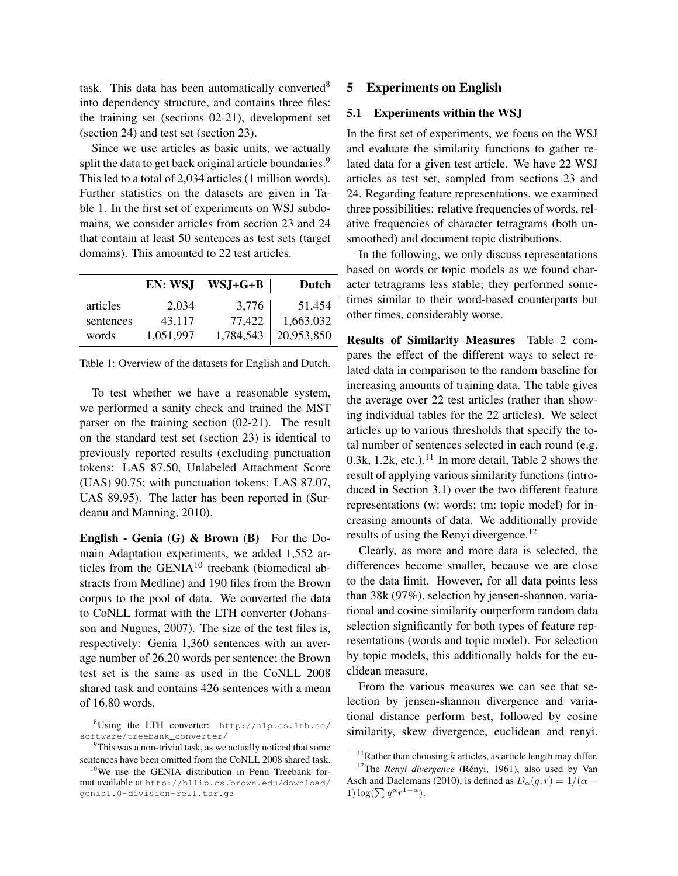task. This data has been automatically converted $8$ into dependency structure, and contains three files: the training set (sections 02-21), development set (section 24) and test set (section 23).

Since we use articles as basic units, we actually split the data to get back original article boundaries.<sup>9</sup> This led to a total of 2,034 articles (1 million words). Further statistics on the datasets are given in Table 1. In the first set of experiments on WSJ subdomains, we consider articles from section 23 and 24 that contain at least 50 sentences as test sets (target domains). This amounted to 22 test articles.

|           | <b>EN: WSJ</b> | $WSJ+G+B$ | Dutch      |
|-----------|----------------|-----------|------------|
| articles  | 2,034          | 3,776     | 51,454     |
| sentences | 43,117         | 77,422    | 1,663,032  |
| words     | 1,051,997      | 1,784,543 | 20,953,850 |

Table 1: Overview of the datasets for English and Dutch.

To test whether we have a reasonable system, we performed a sanity check and trained the MST parser on the training section (02-21). The result on the standard test set (section 23) is identical to previously reported results (excluding punctuation tokens: LAS 87.50, Unlabeled Attachment Score (UAS) 90.75; with punctuation tokens: LAS 87.07, UAS 89.95). The latter has been reported in (Surdeanu and Manning, 2010).

English - Genia (G) & Brown (B) For the Domain Adaptation experiments, we added 1,552 articles from the  $GENIA<sup>10</sup>$  treebank (biomedical abstracts from Medline) and 190 files from the Brown corpus to the pool of data. We converted the data to CoNLL format with the LTH converter (Johansson and Nugues, 2007). The size of the test files is, respectively: Genia 1,360 sentences with an average number of 26.20 words per sentence; the Brown test set is the same as used in the CoNLL 2008 shared task and contains 426 sentences with a mean of 16.80 words.

## 5 Experiments on English

## 5.1 Experiments within the WSJ

In the first set of experiments, we focus on the WSJ and evaluate the similarity functions to gather related data for a given test article. We have 22 WSJ articles as test set, sampled from sections 23 and 24. Regarding feature representations, we examined three possibilities: relative frequencies of words, relative frequencies of character tetragrams (both unsmoothed) and document topic distributions.

In the following, we only discuss representations based on words or topic models as we found character tetragrams less stable; they performed sometimes similar to their word-based counterparts but other times, considerably worse.

Results of Similarity Measures Table 2 compares the effect of the different ways to select related data in comparison to the random baseline for increasing amounts of training data. The table gives the average over 22 test articles (rather than showing individual tables for the 22 articles). We select articles up to various thresholds that specify the total number of sentences selected in each round (e.g. 0.3k, 1.2k, etc.).<sup>11</sup> In more detail, Table 2 shows the result of applying various similarity functions (introduced in Section 3.1) over the two different feature representations (w: words; tm: topic model) for increasing amounts of data. We additionally provide results of using the Renyi divergence.<sup>12</sup>

Clearly, as more and more data is selected, the differences become smaller, because we are close to the data limit. However, for all data points less than 38k (97%), selection by jensen-shannon, variational and cosine similarity outperform random data selection significantly for both types of feature representations (words and topic model). For selection by topic models, this additionally holds for the euclidean measure.

From the various measures we can see that selection by jensen-shannon divergence and variational distance perform best, followed by cosine similarity, skew divergence, euclidean and renyi.

<sup>8</sup>Using the LTH converter: http://nlp.cs.lth.se/ software/treebank\_converter/

<sup>&</sup>lt;sup>9</sup>This was a non-trivial task, as we actually noticed that some sentences have been omitted from the CoNLL 2008 shared task.

<sup>&</sup>lt;sup>10</sup>We use the GENIA distribution in Penn Treebank format available at http://bllip.cs.brown.edu/download/ genia1.0-division-rel1.tar.gz

<sup>&</sup>lt;sup>11</sup>Rather than choosing  $k$  articles, as article length may differ. <sup>12</sup>The *Renyi divergence* (Rényi, 1961), also used by Van

Asch and Daelemans (2010), is defined as  $D_{\alpha}(q, r) = 1/(\alpha -$ 1)  $\log(\sum q^{\alpha} r^{1-\alpha})$ .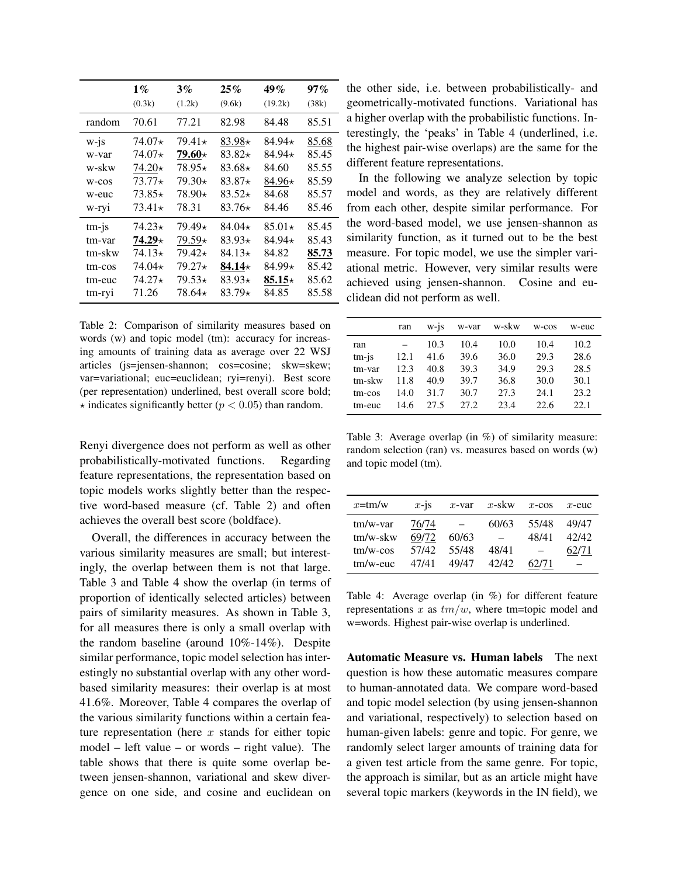|         | $1\%$        | $3\%$              | $25\%$        | 49%           | $97\%$ |
|---------|--------------|--------------------|---------------|---------------|--------|
|         | (0.3k)       | (1.2k)             | (9.6k)        | (19.2k)       | (38k)  |
| random  | 70.61        | 77.21              | 82.98         | 84.48         | 85.51  |
| $w$ -js | $74.07*$     | $79.41*$           | $83.98*$      | $84.94*$      | 85.68  |
| w-var   | $74.07*$     | 79.60 $\star$      | 83.82 $\star$ | $84.94*$      | 85.45  |
| w-skw   | $74.20*$     | $78.95*$           | $83.68\star$  | 84.60         | 85.55  |
| w-cos   | $73.77*$     | 79.30 <sup>★</sup> | $83.87\star$  | $84.96*$      | 85.59  |
| w-euc   | $73.85*$     | $78.90*$           | $83.52\star$  | 84.68         | 85.57  |
| w-ryi   | $73.41\star$ | 78.31              | $83.76\star$  | 84.46         | 85.46  |
| $tm-js$ | $74.23*$     | $79.49*$           | $84.04*$      | $85.01*$      | 85.45  |
| tm-var  | $74.29\star$ | $79.59*$           | $83.93*$      | $84.94*$      | 85.43  |
| tm-skw  | $74.13*$     | $79.42*$           | $84.13*$      | 84.82         | 85.73  |
| tm-cos  | $74.04*$     | $79.27*$           | 84.14 $\star$ | $84.99*$      | 85.42  |
| tm-euc  | $74.27\star$ | $79.53*$           | $83.93*$      | 85.15 $\star$ | 85.62  |
| tm-ryi  | 71.26        | $78.64*$           | $83.79*$      | 84.85         | 85.58  |

Table 2: Comparison of similarity measures based on words (w) and topic model (tm): accuracy for increasing amounts of training data as average over 22 WSJ articles (js=jensen-shannon; cos=cosine; skw=skew; var=variational; euc=euclidean; ryi=renyi). Best score (per representation) underlined, best overall score bold;  $\star$  indicates significantly better ( $p < 0.05$ ) than random.

Renyi divergence does not perform as well as other probabilistically-motivated functions. Regarding feature representations, the representation based on topic models works slightly better than the respective word-based measure (cf. Table 2) and often achieves the overall best score (boldface).

Overall, the differences in accuracy between the various similarity measures are small; but interestingly, the overlap between them is not that large. Table 3 and Table 4 show the overlap (in terms of proportion of identically selected articles) between pairs of similarity measures. As shown in Table 3, for all measures there is only a small overlap with the random baseline (around 10%-14%). Despite similar performance, topic model selection has interestingly no substantial overlap with any other wordbased similarity measures: their overlap is at most 41.6%. Moreover, Table 4 compares the overlap of the various similarity functions within a certain feature representation (here  $x$  stands for either topic model – left value – or words – right value). The table shows that there is quite some overlap between jensen-shannon, variational and skew divergence on one side, and cosine and euclidean on

the other side, i.e. between probabilistically- and geometrically-motivated functions. Variational has a higher overlap with the probabilistic functions. Interestingly, the 'peaks' in Table 4 (underlined, i.e. the highest pair-wise overlaps) are the same for the different feature representations.

In the following we analyze selection by topic model and words, as they are relatively different from each other, despite similar performance. For the word-based model, we use jensen-shannon as similarity function, as it turned out to be the best measure. For topic model, we use the simpler variational metric. However, very similar results were achieved using jensen-shannon. Cosine and euclidean did not perform as well.

|               | ran  | $w$ -is | w-var | w-skw | w-cos | w-euc |
|---------------|------|---------|-------|-------|-------|-------|
| ran           |      | 10.3    | 10.4  | 10.0  | 10.4  | 10.2  |
| $tm-$         | 12.1 | 41.6    | 39.6  | 36.0  | 29.3  | 28.6  |
| tm-var        | 12.3 | 40.8    | 39.3  | 34.9  | 29.3  | 28.5  |
| tm-skw        | 11.8 | 40.9    | 39.7  | 36.8  | 30.0  | 30.1  |
| $tm$ - $\cos$ | 14.0 | 31.7    | 30.7  | 27.3  | 24.1  | 23.2  |
| tm-euc        | 14.6 | 27.5    | 27.2. | 23.4  | 22.6  | 22.1  |
|               |      |         |       |       |       |       |

Table 3: Average overlap (in %) of similarity measure: random selection (ran) vs. measures based on words (w) and topic model (tm).

| $x = \text{tm/w}$ | $x$ -js | $x$ -var | $x$ -skw | $x$ -cos                 | $x$ -euc |
|-------------------|---------|----------|----------|--------------------------|----------|
| $tm/w-var$        | 76/74   |          | 60/63    | 55/48                    | 49/47    |
| $tm/w-skw$        | 69/72   | 60/63    |          | 48/41                    | 42/42    |
| $tm/w-cos$        | 57/42   | 55/48    | 48/41    | $\overline{\phantom{0}}$ | 62/71    |
| $tm/w$ -euc       | 47/41   | 49/47    | 42/42    | 62/71                    |          |

Table 4: Average overlap (in %) for different feature representations x as  $tm/w$ , where tm=topic model and w=words. Highest pair-wise overlap is underlined.

Automatic Measure vs. Human labels The next question is how these automatic measures compare to human-annotated data. We compare word-based and topic model selection (by using jensen-shannon and variational, respectively) to selection based on human-given labels: genre and topic. For genre, we randomly select larger amounts of training data for a given test article from the same genre. For topic, the approach is similar, but as an article might have several topic markers (keywords in the IN field), we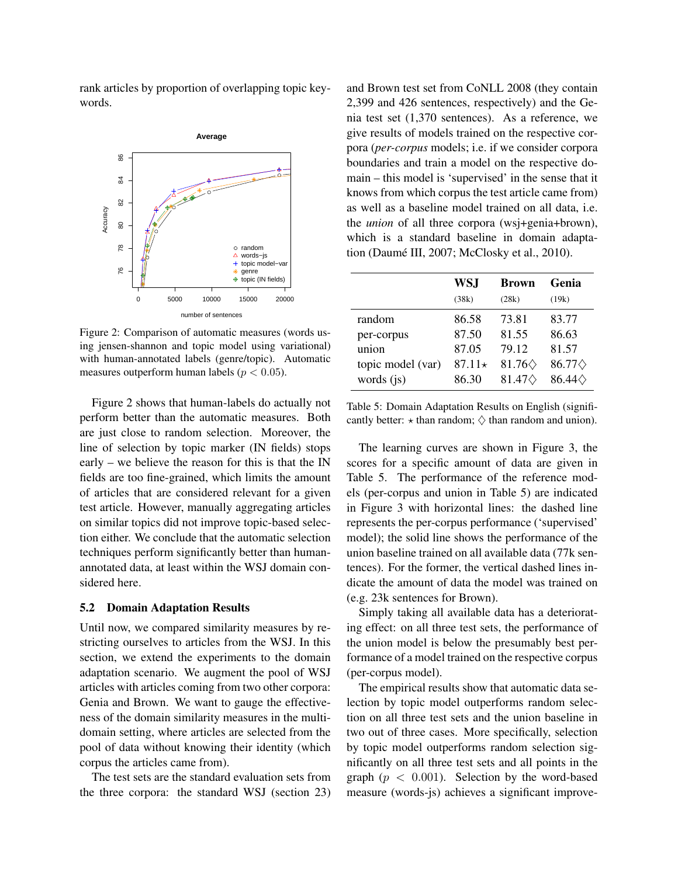rank articles by proportion of overlapping topic keywords.



Figure 2: Comparison of automatic measures (words using jensen-shannon and topic model using variational) with human-annotated labels (genre/topic). Automatic measures outperform human labels ( $p < 0.05$ ).

Figure 2 shows that human-labels do actually not perform better than the automatic measures. Both are just close to random selection. Moreover, the line of selection by topic marker (IN fields) stops early – we believe the reason for this is that the IN fields are too fine-grained, which limits the amount of articles that are considered relevant for a given test article. However, manually aggregating articles on similar topics did not improve topic-based selection either. We conclude that the automatic selection techniques perform significantly better than humanannotated data, at least within the WSJ domain considered here.

## 5.2 Domain Adaptation Results

Until now, we compared similarity measures by restricting ourselves to articles from the WSJ. In this section, we extend the experiments to the domain adaptation scenario. We augment the pool of WSJ articles with articles coming from two other corpora: Genia and Brown. We want to gauge the effectiveness of the domain similarity measures in the multidomain setting, where articles are selected from the pool of data without knowing their identity (which corpus the articles came from).

The test sets are the standard evaluation sets from the three corpora: the standard WSJ (section 23) and Brown test set from CoNLL 2008 (they contain 2,399 and 426 sentences, respectively) and the Genia test set (1,370 sentences). As a reference, we give results of models trained on the respective corpora (*per-corpus* models; i.e. if we consider corpora boundaries and train a model on the respective domain – this model is 'supervised' in the sense that it knows from which corpus the test article came from) as well as a baseline model trained on all data, i.e. the *union* of all three corpora (wsj+genia+brown), which is a standard baseline in domain adaptation (Daumé III, 2007; McClosky et al., 2010).

|                   | WS.J     | <b>Brown</b>         | Genia               |
|-------------------|----------|----------------------|---------------------|
|                   | (38k)    | (28k)                | (19k)               |
| random            | 86.58    | 73.81                | 83.77               |
| per-corpus        | 87.50    | 81.55                | 86.63               |
| union             | 87.05    | 79.12                | 81.57               |
| topic model (var) | $87.11*$ | 81.76 $\diamondsuit$ | 86.77 $\diamond$    |
| words $(i)$       | 86.30    | 81.47 $\diamond$     | $86.44\diamondsuit$ |

Table 5: Domain Adaptation Results on English (significantly better:  $\star$  than random;  $\diamondsuit$  than random and union).

The learning curves are shown in Figure 3, the scores for a specific amount of data are given in Table 5. The performance of the reference models (per-corpus and union in Table 5) are indicated in Figure 3 with horizontal lines: the dashed line represents the per-corpus performance ('supervised' model); the solid line shows the performance of the union baseline trained on all available data (77k sentences). For the former, the vertical dashed lines indicate the amount of data the model was trained on (e.g. 23k sentences for Brown).

Simply taking all available data has a deteriorating effect: on all three test sets, the performance of the union model is below the presumably best performance of a model trained on the respective corpus (per-corpus model).

The empirical results show that automatic data selection by topic model outperforms random selection on all three test sets and the union baseline in two out of three cases. More specifically, selection by topic model outperforms random selection significantly on all three test sets and all points in the graph ( $p < 0.001$ ). Selection by the word-based measure (words-js) achieves a significant improve-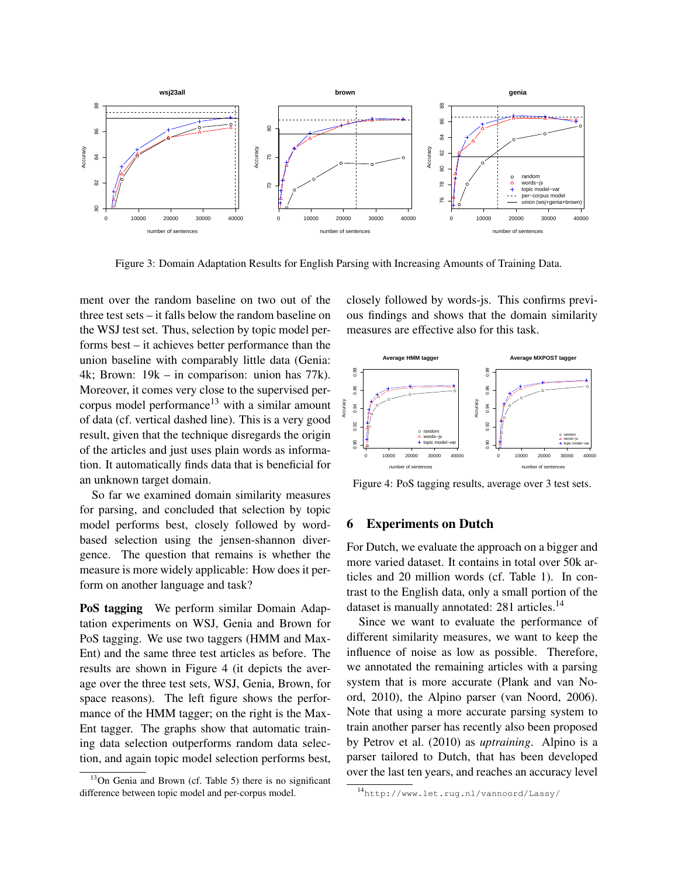

Figure 3: Domain Adaptation Results for English Parsing with Increasing Amounts of Training Data.

ment over the random baseline on two out of the three test sets – it falls below the random baseline on the WSJ test set. Thus, selection by topic model performs best – it achieves better performance than the union baseline with comparably little data (Genia: 4k; Brown: 19k – in comparison: union has 77k). Moreover, it comes very close to the supervised percorpus model performance<sup>13</sup> with a similar amount of data (cf. vertical dashed line). This is a very good result, given that the technique disregards the origin of the articles and just uses plain words as information. It automatically finds data that is beneficial for an unknown target domain.

So far we examined domain similarity measures for parsing, and concluded that selection by topic model performs best, closely followed by wordbased selection using the jensen-shannon divergence. The question that remains is whether the measure is more widely applicable: How does it perform on another language and task?

PoS tagging We perform similar Domain Adaptation experiments on WSJ, Genia and Brown for PoS tagging. We use two taggers (HMM and Max-Ent) and the same three test articles as before. The results are shown in Figure 4 (it depicts the average over the three test sets, WSJ, Genia, Brown, for space reasons). The left figure shows the performance of the HMM tagger; on the right is the Max-Ent tagger. The graphs show that automatic training data selection outperforms random data selection, and again topic model selection performs best,

closely followed by words-js. This confirms previous findings and shows that the domain similarity measures are effective also for this task.



Figure 4: PoS tagging results, average over 3 test sets.

# 6 Experiments on Dutch

For Dutch, we evaluate the approach on a bigger and more varied dataset. It contains in total over 50k articles and 20 million words (cf. Table 1). In contrast to the English data, only a small portion of the dataset is manually annotated: 281 articles.<sup>14</sup>

Since we want to evaluate the performance of different similarity measures, we want to keep the influence of noise as low as possible. Therefore, we annotated the remaining articles with a parsing system that is more accurate (Plank and van Noord, 2010), the Alpino parser (van Noord, 2006). Note that using a more accurate parsing system to train another parser has recently also been proposed by Petrov et al. (2010) as *uptraining*. Alpino is a parser tailored to Dutch, that has been developed over the last ten years, and reaches an accuracy level

 $13$ On Genia and Brown (cf. Table 5) there is no significant difference between topic model and per-corpus model.

<sup>14</sup>http://www.let.rug.nl/vannoord/Lassy/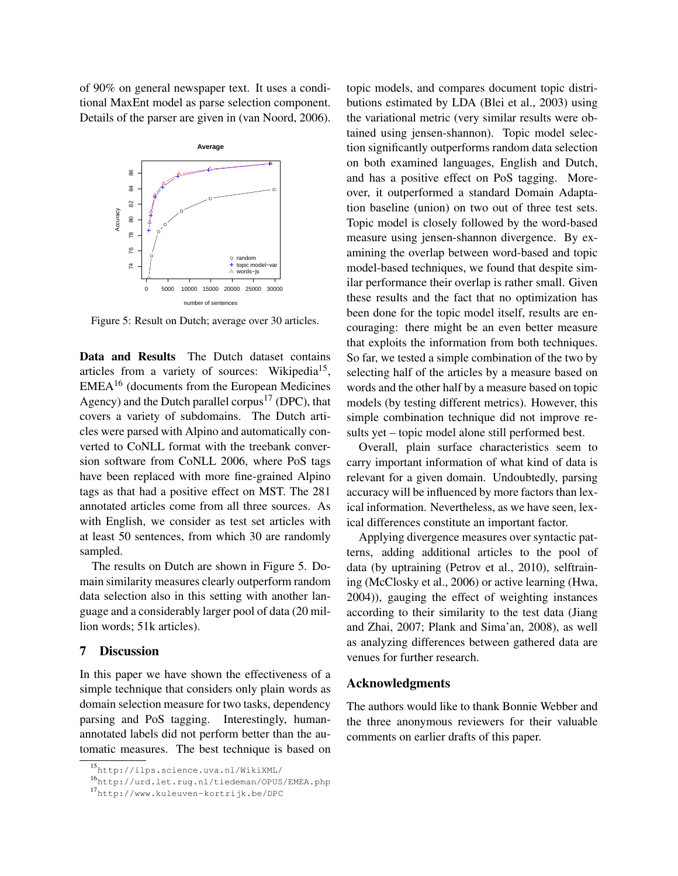of 90% on general newspaper text. It uses a conditional MaxEnt model as parse selection component. Details of the parser are given in (van Noord, 2006).



Figure 5: Result on Dutch; average over 30 articles.

Data and Results The Dutch dataset contains articles from a variety of sources: Wikipedia<sup>15</sup>, EMEA<sup>16</sup> (documents from the European Medicines Agency) and the Dutch parallel corpus<sup>17</sup> (DPC), that covers a variety of subdomains. The Dutch articles were parsed with Alpino and automatically converted to CoNLL format with the treebank conversion software from CoNLL 2006, where PoS tags have been replaced with more fine-grained Alpino tags as that had a positive effect on MST. The 281 annotated articles come from all three sources. As with English, we consider as test set articles with at least 50 sentences, from which 30 are randomly sampled.

The results on Dutch are shown in Figure 5. Domain similarity measures clearly outperform random data selection also in this setting with another language and a considerably larger pool of data (20 million words; 51k articles).

#### 7 Discussion

In this paper we have shown the effectiveness of a simple technique that considers only plain words as domain selection measure for two tasks, dependency parsing and PoS tagging. Interestingly, humanannotated labels did not perform better than the automatic measures. The best technique is based on topic models, and compares document topic distributions estimated by LDA (Blei et al., 2003) using the variational metric (very similar results were obtained using jensen-shannon). Topic model selection significantly outperforms random data selection on both examined languages, English and Dutch, and has a positive effect on PoS tagging. Moreover, it outperformed a standard Domain Adaptation baseline (union) on two out of three test sets. Topic model is closely followed by the word-based measure using jensen-shannon divergence. By examining the overlap between word-based and topic model-based techniques, we found that despite similar performance their overlap is rather small. Given these results and the fact that no optimization has been done for the topic model itself, results are encouraging: there might be an even better measure that exploits the information from both techniques. So far, we tested a simple combination of the two by selecting half of the articles by a measure based on words and the other half by a measure based on topic models (by testing different metrics). However, this simple combination technique did not improve results yet – topic model alone still performed best.

Overall, plain surface characteristics seem to carry important information of what kind of data is relevant for a given domain. Undoubtedly, parsing accuracy will be influenced by more factors than lexical information. Nevertheless, as we have seen, lexical differences constitute an important factor.

Applying divergence measures over syntactic patterns, adding additional articles to the pool of data (by uptraining (Petrov et al., 2010), selftraining (McClosky et al., 2006) or active learning (Hwa, 2004)), gauging the effect of weighting instances according to their similarity to the test data (Jiang and Zhai, 2007; Plank and Sima'an, 2008), as well as analyzing differences between gathered data are venues for further research.

## Acknowledgments

The authors would like to thank Bonnie Webber and the three anonymous reviewers for their valuable comments on earlier drafts of this paper.

<sup>15</sup>http://ilps.science.uva.nl/WikiXML/

<sup>16</sup>http://urd.let.rug.nl/tiedeman/OPUS/EMEA.php

<sup>17</sup>http://www.kuleuven-kortrijk.be/DPC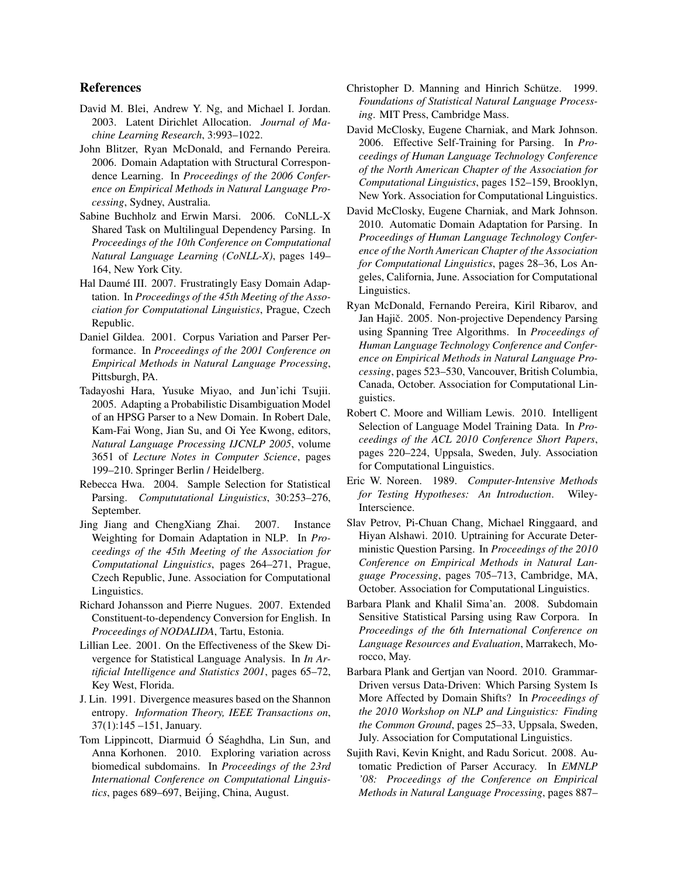## References

- David M. Blei, Andrew Y. Ng, and Michael I. Jordan. 2003. Latent Dirichlet Allocation. *Journal of Machine Learning Research*, 3:993–1022.
- John Blitzer, Ryan McDonald, and Fernando Pereira. 2006. Domain Adaptation with Structural Correspondence Learning. In *Proceedings of the 2006 Conference on Empirical Methods in Natural Language Processing*, Sydney, Australia.
- Sabine Buchholz and Erwin Marsi. 2006. CoNLL-X Shared Task on Multilingual Dependency Parsing. In *Proceedings of the 10th Conference on Computational Natural Language Learning (CoNLL-X)*, pages 149– 164, New York City.
- Hal Daumé III. 2007. Frustratingly Easy Domain Adaptation. In *Proceedings of the 45th Meeting of the Association for Computational Linguistics*, Prague, Czech Republic.
- Daniel Gildea. 2001. Corpus Variation and Parser Performance. In *Proceedings of the 2001 Conference on Empirical Methods in Natural Language Processing*, Pittsburgh, PA.
- Tadayoshi Hara, Yusuke Miyao, and Jun'ichi Tsujii. 2005. Adapting a Probabilistic Disambiguation Model of an HPSG Parser to a New Domain. In Robert Dale, Kam-Fai Wong, Jian Su, and Oi Yee Kwong, editors, *Natural Language Processing IJCNLP 2005*, volume 3651 of *Lecture Notes in Computer Science*, pages 199–210. Springer Berlin / Heidelberg.
- Rebecca Hwa. 2004. Sample Selection for Statistical Parsing. *Compututational Linguistics*, 30:253–276, September.
- Jing Jiang and ChengXiang Zhai. 2007. Instance Weighting for Domain Adaptation in NLP. In *Proceedings of the 45th Meeting of the Association for Computational Linguistics*, pages 264–271, Prague, Czech Republic, June. Association for Computational Linguistics.
- Richard Johansson and Pierre Nugues. 2007. Extended Constituent-to-dependency Conversion for English. In *Proceedings of NODALIDA*, Tartu, Estonia.
- Lillian Lee. 2001. On the Effectiveness of the Skew Divergence for Statistical Language Analysis. In *In Artificial Intelligence and Statistics 2001*, pages 65–72, Key West, Florida.
- J. Lin. 1991. Divergence measures based on the Shannon entropy. *Information Theory, IEEE Transactions on*, 37(1):145 –151, January.
- Tom Lippincott, Diarmuid Ó Séaghdha, Lin Sun, and Anna Korhonen. 2010. Exploring variation across biomedical subdomains. In *Proceedings of the 23rd International Conference on Computational Linguistics*, pages 689–697, Beijing, China, August.
- Christopher D. Manning and Hinrich Schütze. 1999. *Foundations of Statistical Natural Language Processing*. MIT Press, Cambridge Mass.
- David McClosky, Eugene Charniak, and Mark Johnson. 2006. Effective Self-Training for Parsing. In *Proceedings of Human Language Technology Conference of the North American Chapter of the Association for Computational Linguistics*, pages 152–159, Brooklyn, New York. Association for Computational Linguistics.
- David McClosky, Eugene Charniak, and Mark Johnson. 2010. Automatic Domain Adaptation for Parsing. In *Proceedings of Human Language Technology Conference of the North American Chapter of the Association for Computational Linguistics*, pages 28–36, Los Angeles, California, June. Association for Computational Linguistics.
- Ryan McDonald, Fernando Pereira, Kiril Ribarov, and Jan Hajič. 2005. Non-projective Dependency Parsing using Spanning Tree Algorithms. In *Proceedings of Human Language Technology Conference and Conference on Empirical Methods in Natural Language Processing*, pages 523–530, Vancouver, British Columbia, Canada, October. Association for Computational Linguistics.
- Robert C. Moore and William Lewis. 2010. Intelligent Selection of Language Model Training Data. In *Proceedings of the ACL 2010 Conference Short Papers*, pages 220–224, Uppsala, Sweden, July. Association for Computational Linguistics.
- Eric W. Noreen. 1989. *Computer-Intensive Methods for Testing Hypotheses: An Introduction*. Wiley-Interscience.
- Slav Petrov, Pi-Chuan Chang, Michael Ringgaard, and Hiyan Alshawi. 2010. Uptraining for Accurate Deterministic Question Parsing. In *Proceedings of the 2010 Conference on Empirical Methods in Natural Language Processing*, pages 705–713, Cambridge, MA, October. Association for Computational Linguistics.
- Barbara Plank and Khalil Sima'an. 2008. Subdomain Sensitive Statistical Parsing using Raw Corpora. In *Proceedings of the 6th International Conference on Language Resources and Evaluation*, Marrakech, Morocco, May.
- Barbara Plank and Gertjan van Noord. 2010. Grammar-Driven versus Data-Driven: Which Parsing System Is More Affected by Domain Shifts? In *Proceedings of the 2010 Workshop on NLP and Linguistics: Finding the Common Ground*, pages 25–33, Uppsala, Sweden, July. Association for Computational Linguistics.
- Sujith Ravi, Kevin Knight, and Radu Soricut. 2008. Automatic Prediction of Parser Accuracy. In *EMNLP '08: Proceedings of the Conference on Empirical Methods in Natural Language Processing*, pages 887–